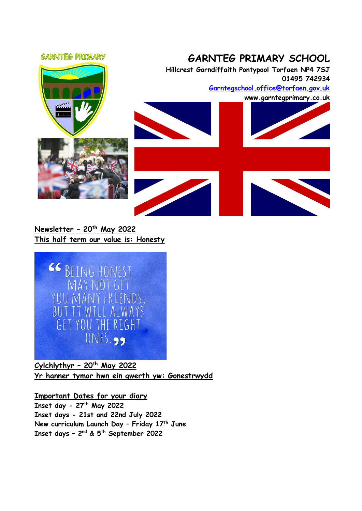

**Newsletter – 20th May 2022 This half term our value is: Honesty**



**Cylchlythyr – 20th May 2022 Yr hanner tymor hwn ein gwerth yw: Gonestrwydd**

**Important Dates for your diary Inset day - 27th May 2022 Inset days - 21st and 22nd July 2022 New curriculum Launch Day – Friday 17th June Inset days – 2 nd & 5th September 2022**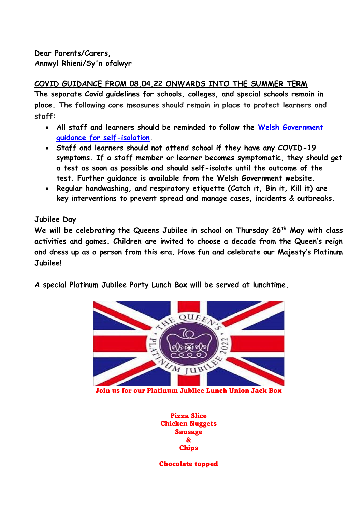**Dear Parents/Carers, Annwyl Rhieni/Sy'n ofalwyr**

**COVID GUIDANCE FROM 08.04.22 ONWARDS INTO THE SUMMER TERM The separate Covid guidelines for schools, colleges, and special schools remain in place. The following core measures should remain in place to protect learners and staff:** 

- **All staff and learners should be reminded to follow the [Welsh Government](https://gov.wales/self-isolation)  [guidance for self-isolation.](https://gov.wales/self-isolation)**
- **Staff and learners should not attend school if they have any COVID-19 symptoms. If a staff member or learner becomes symptomatic, they should get a test as soon as possible and should self-isolate until the outcome of the test. [Further guidance](https://gov.wales/self-isolation) is available from the Welsh Government website.**
- **Regular handwashing, and respiratory etiquette (Catch it, Bin it, Kill it) are key interventions to prevent spread and manage cases, incidents & outbreaks.**

# **Jubilee Day**

**We will be celebrating the Queens Jubilee in school on Thursday 26th May with class activities and games. Children are invited to choose a decade from the Queen's reign and dress up as a person from this era. Have fun and celebrate our Majesty's Platinum Jubilee!**

**A special Platinum Jubilee Party Lunch Box will be served at lunchtime.**



Join us for our Platinum Jubilee Lunch Union Jack Box

Pizza Slice Chicken Nuggets Sausage & Chips

Chocolate topped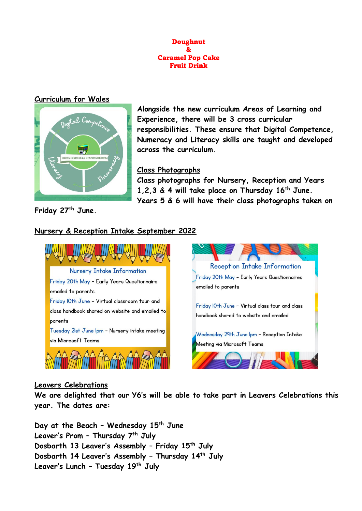

#### **Curriculum for Wales**



**Alongside the new curriculum Areas of Learning and Experience, there will be 3 cross curricular responsibilities. These ensure that Digital Competence, Numeracy and Literacy skills are taught and developed across the curriculum.** 

#### **Class Photographs**

**Class photographs for Nursery, Reception and Years 1,2,3 & 4 will take place on Thursday 16th June. Years 5 & 6 will have their class photographs taken on** 

**Friday 27th June.**

## **Nursery & Reception Intake September 2022**





#### **Leavers Celebrations**

**We are delighted that our Y6's will be able to take part in Leavers Celebrations this year. The dates are:**

**Day at the Beach – Wednesday 15th June Leaver's Prom – Thursday 7th July Dosbarth 13 Leaver's Assembly – Friday 15th July Dosbarth 14 Leaver's Assembly – Thursday 14th July Leaver's Lunch – Tuesday 19th July**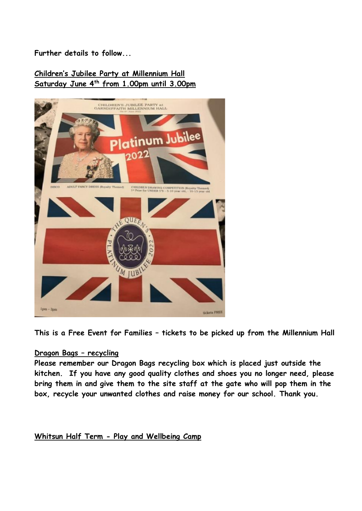**Further details to follow...**

# **Children's Jubilee Party at Millennium Hall Saturday June 4th from 1.00pm until 3.00pm**



**This is a Free Event for Families – tickets to be picked up from the Millennium Hall**

## **Dragon Bags – recycling**

**Please remember our Dragon Bags recycling box which is placed just outside the kitchen. If you have any good quality clothes and shoes you no longer need, please bring them in and give them to the site staff at the gate who will pop them in the box, recycle your unwanted clothes and raise money for our school. Thank you.**

**Whitsun Half Term - Play and Wellbeing Camp**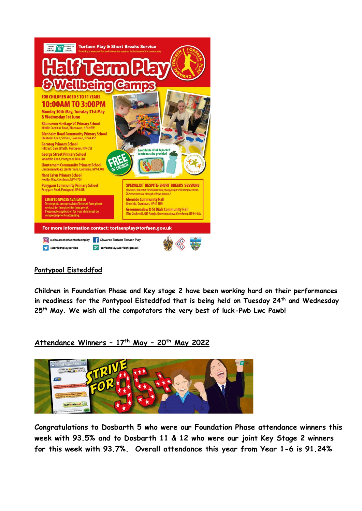

## **Pontypool Eisteddfod**

**Children in Foundation Phase and Key stage 2 have been working hard on their performances in readiness for the Pontypool Eisteddfod that is being held on Tuesday 24th and Wednesday 25th May. We wish all the compotators the very best of luck-Pwb Lwc Pawb!**

**Attendance Winners – 17th May – 20th May 2022**



**Congratulations to Dosbarth 5 who were our Foundation Phase attendance winners this week with 93.5% and to Dosbarth 11 & 12 who were our joint Key Stage 2 winners for this week with 93.7%. Overall attendance this year from Year 1-6 is 91.24%**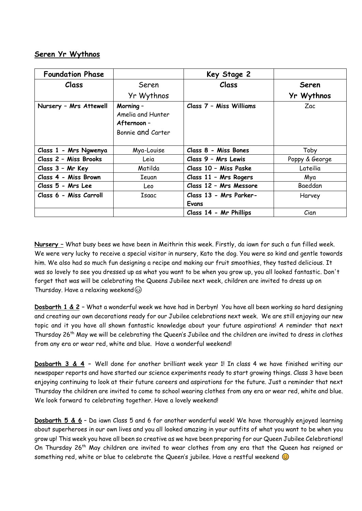## **Seren Yr Wythnos**

| <b>Foundation Phase</b> |                                                                    | Key Stage 2             |                |
|-------------------------|--------------------------------------------------------------------|-------------------------|----------------|
| Class                   | Seren                                                              | Class                   | <b>Seren</b>   |
|                         | Yr Wythnos                                                         |                         | Yr Wythnos     |
| Nursery - Mrs Attewell  | Morning -<br>Amelia and Hunter<br>Afternoon -<br>Bonnie and Carter | Class 7 - Miss Williams | Zac            |
| Class 1 - Mrs Ngwenya   | Mya-Louise                                                         | Class 8 - Miss Bones    | Toby           |
| Class 2 - Miss Brooks   | Leia                                                               | Class 9 - Mrs Lewis     | Poppy & George |
| Class 3 - Mr Key        | Matilda                                                            | Class 10 - Miss Paske   | Lateilia       |
| Class 4 - Miss Brown    | Ieuan                                                              | Class 11 - Mrs Rogers   | Mya            |
| Class 5 - Mrs Lee       | Leo                                                                | Class 12 - Mrs Messore  | Baeddan        |
| Class 6 - Miss Carroll  | Isaac                                                              | Class 13 - Mrs Parker-  | Harvey         |
|                         |                                                                    | Evans                   |                |
|                         |                                                                    | Class 14 - Mr Phillips  | Cian           |

**Nursery –** What busy bees we have been in Meithrin this week. Firstly, da iawn for such a fun filled week. We were very lucky to receive a special visitor in nursery, Kato the dog. You were so kind and gentle towards him. We also had so much fun designing a recipe and making our fruit smoothies, they tasted delicious. It was so lovely to see you dressed up as what you want to be when you grow up, you all looked fantastic. Don't forget that was will be celebrating the Queens Jubilee next week, children are invited to dress up on Thursday. Have a relaxing weekend

**Dosbarth 1 & 2 –** What a wonderful week we have had in Derbyn! You have all been working so hard designing and creating our own decorations ready for our Jubilee celebrations next week. We are still enjoying our new topic and it you have all shown fantastic knowledge about your future aspirations! A reminder that next Thursday 26th May we will be celebrating the Queen's Jubilee and the children are invited to dress in clothes from any era or wear red, white and blue. Have a wonderful weekend!

**Dosbarth 3 & 4 –** Well done for another brilliant week year 1! In class 4 we have finished writing our newspaper reports and have started our science experiments ready to start growing things. Class 3 have been enjoying continuing to look at their future careers and aspirations for the future. Just a reminder that next Thursday the children are invited to come to school wearing clothes from any era or wear red, white and blue. We look forward to celebrating together. Have a lovely weekend!

**Dosbarth 5 & 6** – Da iawn Class 5 and 6 for another wonderful week! We have thoroughly enjoyed learning about superheroes in our own lives and you all looked amazing in your outfits of what you want to be when you grow up! This week you have all been so creative as we have been preparing for our Queen Jubilee Celebrations! On Thursday 26<sup>th</sup> May children are invited to wear clothes from any era that the Queen has reigned or something red, white or blue to celebrate the Queen's jubilee. Have a restful weekend  $\odot$